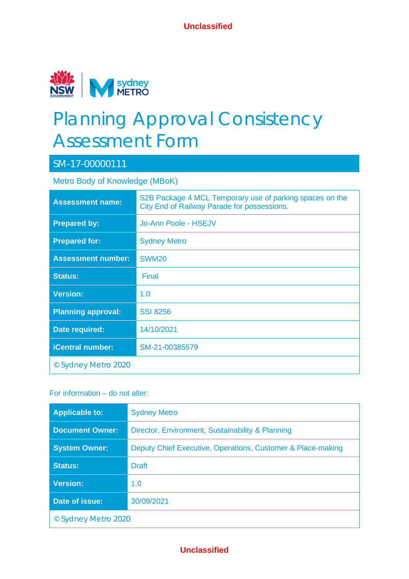

# Planning Approval Consistency Assessment Form

# SM-17-00000111

Metro Body of Knowledge (MBoK)

| <b>Assessment name:</b>   | S2B Package 4 MCL Temporary use of parking spaces on the<br>City End of Railway Parade for possessions. |
|---------------------------|---------------------------------------------------------------------------------------------------------|
| <b>Prepared by:</b>       | Jo-Ann Poole - HSEJV                                                                                    |
| <b>Prepared for:</b>      | <b>Sydney Metro</b>                                                                                     |
| <b>Assessment number:</b> | <b>SWM20</b>                                                                                            |
| <b>Status:</b>            | Final                                                                                                   |
| <b>Version:</b>           | 1.0                                                                                                     |
| <b>Planning approval:</b> | <b>SSI 8256</b>                                                                                         |
| Date required:            | 14/10/2021                                                                                              |
| <b>iCentral number:</b>   | SM-21-00385579                                                                                          |
| © Sydney Metro 2020       |                                                                                                         |

#### For information – do not alter:

| <b>Applicable to:</b>  | <b>Sydney Metro</b>                                         |  |  |  |
|------------------------|-------------------------------------------------------------|--|--|--|
| <b>Document Owner:</b> | Director, Environment, Sustainability & Planning            |  |  |  |
| <b>System Owner:</b>   | Deputy Chief Executive, Operations, Customer & Place-making |  |  |  |
| <b>Status:</b>         | <b>Draft</b>                                                |  |  |  |
| <b>Version:</b>        | 1.0                                                         |  |  |  |
| Date of issue:         | 30/09/2021                                                  |  |  |  |
| © Sydney Metro 2020    |                                                             |  |  |  |

## **Unclassified**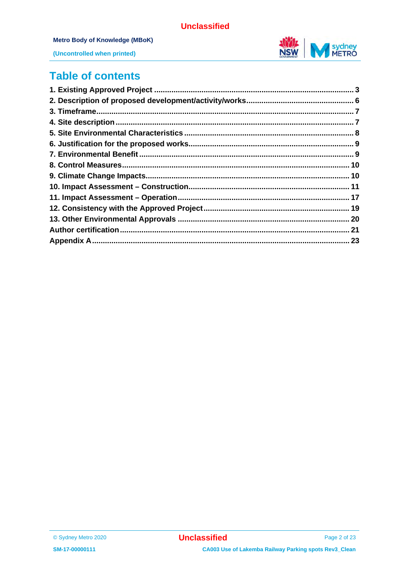

#### Metro Body of Knowledge (MBoK)



(Uncontrolled when printed)

# **Table of contents**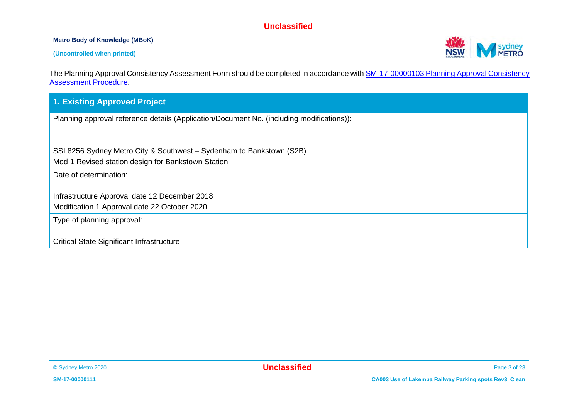#### **Metro Body of Knowledge (MBoK)**



The Planning Approval Consistency Assessment Form should be completed in accordance wit[h SM-17-00000103 Planning Approval Consistency](https://icentral.tdocs.transport.nsw.gov.au/otcs/cs.exe/app/nodes/3843028)  [Assessment Procedure.](https://icentral.tdocs.transport.nsw.gov.au/otcs/cs.exe/app/nodes/3843028)

#### **1. Existing Approved Project**

Planning approval reference details (Application/Document No. (including modifications)):

SSI 8256 Sydney Metro City & Southwest – Sydenham to Bankstown (S2B)

Mod 1 Revised station design for Bankstown Station

Date of determination:

Infrastructure Approval date 12 December 2018

Modification 1 Approval date 22 October 2020

Type of planning approval:

Critical State Significant Infrastructure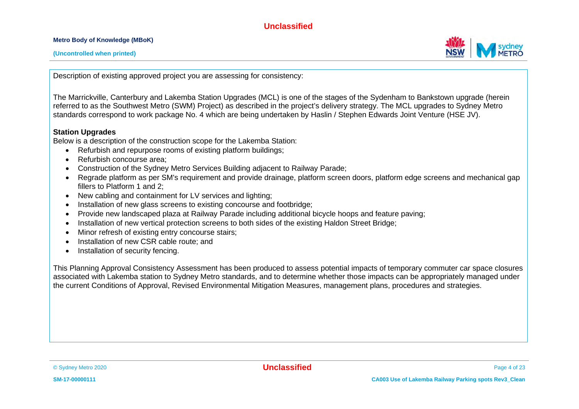**Metro Body of Knowledge (MBoK)**



Description of existing approved project you are assessing for consistency:

The Marrickville, Canterbury and Lakemba Station Upgrades (MCL) is one of the stages of the Sydenham to Bankstown upgrade (herein referred to as the Southwest Metro (SWM) Project) as described in the project's delivery strategy. The MCL upgrades to Sydney Metro standards correspond to work package No. 4 which are being undertaken by Haslin / Stephen Edwards Joint Venture (HSE JV).

#### **Station Upgrades**

Below is a description of the construction scope for the Lakemba Station:

- Refurbish and repurpose rooms of existing platform buildings;
- Refurbish concourse area:
- Construction of the Sydney Metro Services Building adjacent to Railway Parade;
- Regrade platform as per SM's requirement and provide drainage, platform screen doors, platform edge screens and mechanical gap fillers to Platform 1 and 2;
- New cabling and containment for LV services and lighting;
- Installation of new glass screens to existing concourse and footbridge;
- Provide new landscaped plaza at Railway Parade including additional bicycle hoops and feature paving;
- Installation of new vertical protection screens to both sides of the existing Haldon Street Bridge:
- Minor refresh of existing entry concourse stairs;
- Installation of new CSR cable route; and
- Installation of security fencing.

This Planning Approval Consistency Assessment has been produced to assess potential impacts of temporary commuter car space closures associated with Lakemba station to Sydney Metro standards, and to determine whether those impacts can be appropriately managed under the current Conditions of Approval, Revised Environmental Mitigation Measures, management plans, procedures and strategies.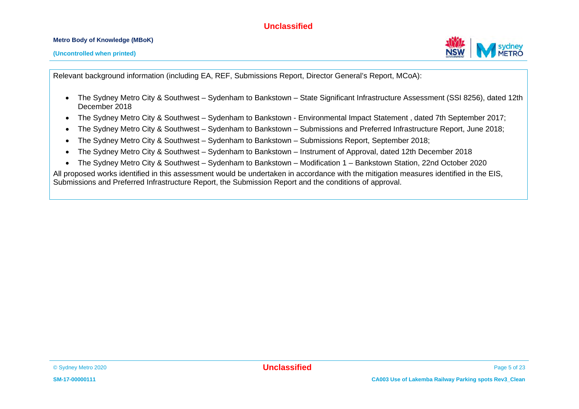#### **Metro Body of Knowledge (MBoK)**

Relevant background information (including EA, REF, Submissions Report, Director General's Report, MCoA):

- The Sydney Metro City & Southwest Sydenham to Bankstown State Significant Infrastructure Assessment (SSI 8256), dated 12th December 2018
- The Sydney Metro City & Southwest Sydenham to Bankstown Environmental Impact Statement , dated 7th September 2017;
- The Sydney Metro City & Southwest Sydenham to Bankstown Submissions and Preferred Infrastructure Report, June 2018;
- The Sydney Metro City & Southwest Sydenham to Bankstown Submissions Report, September 2018;
- The Sydney Metro City & Southwest Sydenham to Bankstown Instrument of Approval, dated 12th December 2018
- The Sydney Metro City & Southwest Sydenham to Bankstown Modification 1 Bankstown Station, 22nd October 2020

All proposed works identified in this assessment would be undertaken in accordance with the mitigation measures identified in the EIS, Submissions and Preferred Infrastructure Report, the Submission Report and the conditions of approval.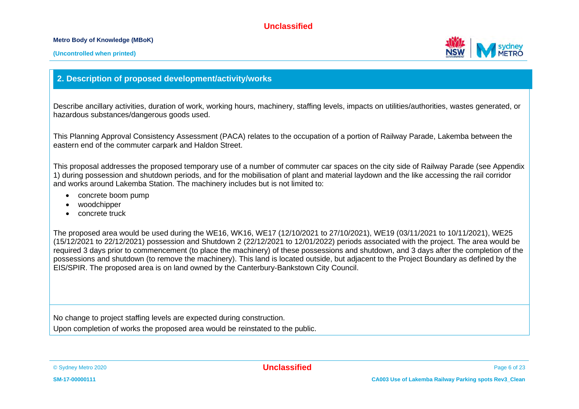#### **Metro Body of Knowledge (MBoK)**



#### **2. Description of proposed development/activity/works**

Describe ancillary activities, duration of work, working hours, machinery, staffing levels, impacts on utilities/authorities, wastes generated, or hazardous substances/dangerous goods used.

This Planning Approval Consistency Assessment (PACA) relates to the occupation of a portion of Railway Parade, Lakemba between the eastern end of the commuter carpark and Haldon Street.

This proposal addresses the proposed temporary use of a number of commuter car spaces on the city side of Railway Parade (see Appendix 1) during possession and shutdown periods, and for the mobilisation of plant and material laydown and the like accessing the rail corridor and works around Lakemba Station. The machinery includes but is not limited to:

- concrete boom pump
- woodchipper
- concrete truck

The proposed area would be used during the WE16, WK16, WE17 (12/10/2021 to 27/10/2021), WE19 (03/11/2021 to 10/11/2021), WE25 (15/12/2021 to 22/12/2021) possession and Shutdown 2 (22/12/2021 to 12/01/2022) periods associated with the project. The area would be required 3 days prior to commencement (to place the machinery) of these possessions and shutdown, and 3 days after the completion of the possessions and shutdown (to remove the machinery). This land is located outside, but adjacent to the Project Boundary as defined by the EIS/SPIR. The proposed area is on land owned by the Canterbury-Bankstown City Council.

No change to project staffing levels are expected during construction.

Upon completion of works the proposed area would be reinstated to the public.

© Sydney Metro 2020 **Unclassified** Page 6 of 23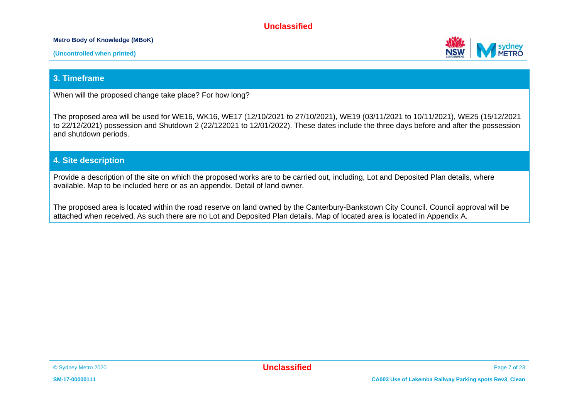#### **Metro Body of Knowledge (MBoK)**





### **3. Timeframe**

When will the proposed change take place? For how long?

The proposed area will be used for WE16, WK16, WE17 (12/10/2021 to 27/10/2021), WE19 (03/11/2021 to 10/11/2021), WE25 (15/12/2021 to 22/12/2021) possession and Shutdown 2 (22/122021 to 12/01/2022). These dates include the three days before and after the possession and shutdown periods.

#### **4. Site description**

Provide a description of the site on which the proposed works are to be carried out, including, Lot and Deposited Plan details, where available. Map to be included here or as an appendix. Detail of land owner.

The proposed area is located within the road reserve on land owned by the Canterbury-Bankstown City Council. Council approval will be attached when received. As such there are no Lot and Deposited Plan details. Map of located area is located in Appendix A.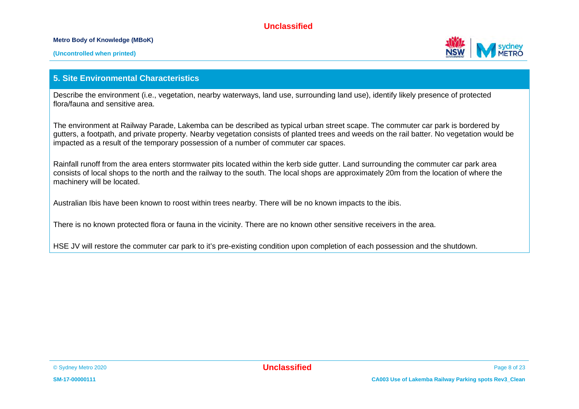#### **Metro Body of Knowledge (MBoK)**



#### **5. Site Environmental Characteristics**

Describe the environment (i.e., vegetation, nearby waterways, land use, surrounding land use), identify likely presence of protected flora/fauna and sensitive area.

The environment at Railway Parade, Lakemba can be described as typical urban street scape. The commuter car park is bordered by gutters, a footpath, and private property. Nearby vegetation consists of planted trees and weeds on the rail batter. No vegetation would be impacted as a result of the temporary possession of a number of commuter car spaces.

Rainfall runoff from the area enters stormwater pits located within the kerb side gutter. Land surrounding the commuter car park area consists of local shops to the north and the railway to the south. The local shops are approximately 20m from the location of where the machinery will be located.

Australian Ibis have been known to roost within trees nearby. There will be no known impacts to the ibis.

There is no known protected flora or fauna in the vicinity. There are no known other sensitive receivers in the area.

HSE JV will restore the commuter car park to it's pre-existing condition upon completion of each possession and the shutdown.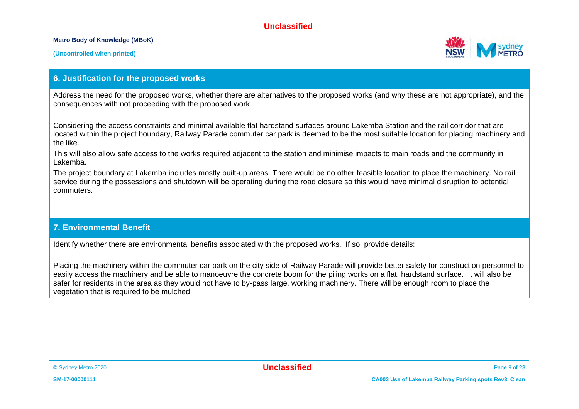**Metro Body of Knowledge (MBoK)**



#### **6. Justification for the proposed works**

Address the need for the proposed works, whether there are alternatives to the proposed works (and why these are not appropriate), and the consequences with not proceeding with the proposed work.

Considering the access constraints and minimal available flat hardstand surfaces around Lakemba Station and the rail corridor that are located within the project boundary, Railway Parade commuter car park is deemed to be the most suitable location for placing machinery and the like.

This will also allow safe access to the works required adjacent to the station and minimise impacts to main roads and the community in Lakemba.

The project boundary at Lakemba includes mostly built-up areas. There would be no other feasible location to place the machinery. No rail service during the possessions and shutdown will be operating during the road closure so this would have minimal disruption to potential commuters.

#### **7. Environmental Benefit**

Identify whether there are environmental benefits associated with the proposed works. If so, provide details:

Placing the machinery within the commuter car park on the city side of Railway Parade will provide better safety for construction personnel to easily access the machinery and be able to manoeuvre the concrete boom for the piling works on a flat, hardstand surface. It will also be safer for residents in the area as they would not have to by-pass large, working machinery. There will be enough room to place the vegetation that is required to be mulched.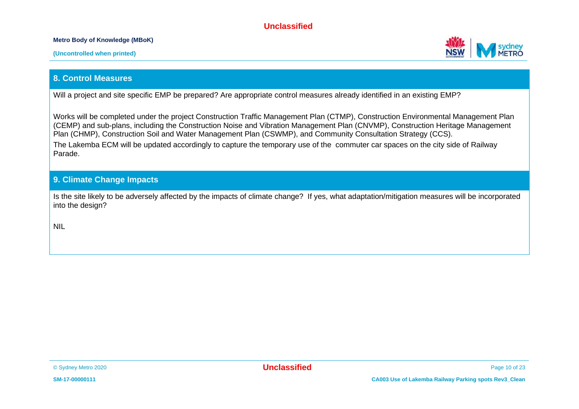#### **Metro Body of Knowledge (MBoK)**



#### **8. Control Measures**

Will a project and site specific EMP be prepared? Are appropriate control measures already identified in an existing EMP?

Works will be completed under the project Construction Traffic Management Plan (CTMP), Construction Environmental Management Plan (CEMP) and sub-plans, including the Construction Noise and Vibration Management Plan (CNVMP), Construction Heritage Management Plan (CHMP), Construction Soil and Water Management Plan (CSWMP), and Community Consultation Strategy (CCS). The Lakemba ECM will be updated accordingly to capture the temporary use of the commuter car spaces on the city side of Railway Parade.

#### **9. Climate Change Impacts**

Is the site likely to be adversely affected by the impacts of climate change? If yes, what adaptation/mitigation measures will be incorporated into the design?

NIL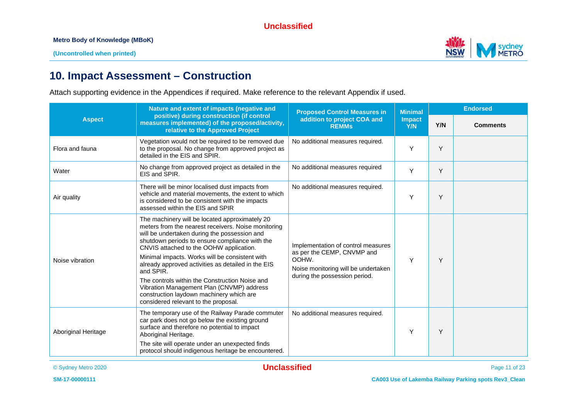

# **10. Impact Assessment – Construction**

Attach supporting evidence in the Appendices if required. Make reference to the relevant Appendix if used.

|                     | Nature and extent of impacts (negative and                                                                                                                                                                                                                                                                                                                                                                                                                                                                                                                 | <b>Proposed Control Measures in</b>                                                                                                               | <b>Minimal</b>       | <b>Endorsed</b> |                 |
|---------------------|------------------------------------------------------------------------------------------------------------------------------------------------------------------------------------------------------------------------------------------------------------------------------------------------------------------------------------------------------------------------------------------------------------------------------------------------------------------------------------------------------------------------------------------------------------|---------------------------------------------------------------------------------------------------------------------------------------------------|----------------------|-----------------|-----------------|
| <b>Aspect</b>       | positive) during construction (if control<br>measures implemented) of the proposed/activity,<br>relative to the Approved Project                                                                                                                                                                                                                                                                                                                                                                                                                           | addition to project COA and<br><b>REMMs</b>                                                                                                       | <b>Impact</b><br>Y/N | Y/N             | <b>Comments</b> |
| Flora and fauna     | Vegetation would not be required to be removed due<br>to the proposal. No change from approved project as<br>detailed in the EIS and SPIR.                                                                                                                                                                                                                                                                                                                                                                                                                 | No additional measures required.                                                                                                                  | Y                    | Y               |                 |
| Water               | No change from approved project as detailed in the<br>EIS and SPIR.                                                                                                                                                                                                                                                                                                                                                                                                                                                                                        | No additional measures required                                                                                                                   | Y                    | Y               |                 |
| Air quality         | There will be minor localised dust impacts from<br>vehicle and material movements, the extent to which<br>is considered to be consistent with the impacts<br>assessed within the EIS and SPIR                                                                                                                                                                                                                                                                                                                                                              | No additional measures required.                                                                                                                  | Y                    | Y               |                 |
| Noise vibration     | The machinery will be located approximately 20<br>meters from the nearest receivers. Noise monitoring<br>will be undertaken during the possession and<br>shutdown periods to ensure compliance with the<br>CNVIS attached to the OOHW application.<br>Minimal impacts. Works will be consistent with<br>already approved activities as detailed in the EIS<br>and SPIR.<br>The controls within the Construction Noise and<br>Vibration Management Plan (CNVMP) address<br>construction laydown machinery which are<br>considered relevant to the proposal. | Implementation of control measures<br>as per the CEMP, CNVMP and<br>OOHW.<br>Noise monitoring will be undertaken<br>during the possession period. | Y                    | Y               |                 |
| Aboriginal Heritage | The temporary use of the Railway Parade commuter<br>car park does not go below the existing ground<br>surface and therefore no potential to impact<br>Aboriginal Heritage.<br>The site will operate under an unexpected finds<br>protocol should indigenous heritage be encountered.                                                                                                                                                                                                                                                                       | No additional measures required.                                                                                                                  | Y                    | Y               |                 |

© Sydney Metro 2020 **Unclassified** Page 11 of 23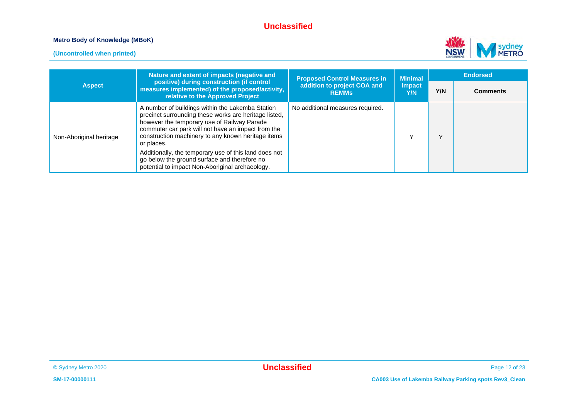#### **Metro Body of Knowledge (MBoK)**





|                         | Nature and extent of impacts (negative and                                                                                                                                                                                                                                                                                                                                                                                                     | <b>Proposed Control Measures in</b>         | <b>Minimal</b><br><b>Impact</b><br>Y/N | <b>Endorsed</b> |                 |
|-------------------------|------------------------------------------------------------------------------------------------------------------------------------------------------------------------------------------------------------------------------------------------------------------------------------------------------------------------------------------------------------------------------------------------------------------------------------------------|---------------------------------------------|----------------------------------------|-----------------|-----------------|
| <b>Aspect</b>           | positive) during construction (if control<br>measures implemented) of the proposed/activity,<br>relative to the Approved Project                                                                                                                                                                                                                                                                                                               | addition to project COA and<br><b>REMMs</b> |                                        | Y/N             | <b>Comments</b> |
| Non-Aboriginal heritage | A number of buildings within the Lakemba Station<br>precinct surrounding these works are heritage listed,<br>however the temporary use of Railway Parade<br>commuter car park will not have an impact from the<br>construction machinery to any known heritage items<br>or places.<br>Additionally, the temporary use of this land does not<br>go below the ground surface and therefore no<br>potential to impact Non-Aboriginal archaeology. | No additional measures required.            |                                        | v               |                 |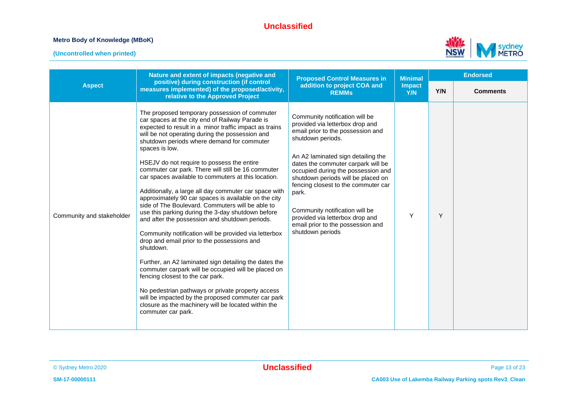#### **Metro Body of Knowledge (MBoK)**

**(Uncontrolled when printed)**



|                           | Nature and extent of impacts (negative and                                                                                                                                                                                                                                                                                                                                                                                                                                                                                                                                                                                                                                                                                                                                                                                                                                                                                                                                                                                                                                                                                                                                            | <b>Proposed Control Measures in</b>                                                                                                                                                                                                                                                                                                                                                                                                                               | <b>Minimal</b>       |     | <b>Endorsed</b> |
|---------------------------|---------------------------------------------------------------------------------------------------------------------------------------------------------------------------------------------------------------------------------------------------------------------------------------------------------------------------------------------------------------------------------------------------------------------------------------------------------------------------------------------------------------------------------------------------------------------------------------------------------------------------------------------------------------------------------------------------------------------------------------------------------------------------------------------------------------------------------------------------------------------------------------------------------------------------------------------------------------------------------------------------------------------------------------------------------------------------------------------------------------------------------------------------------------------------------------|-------------------------------------------------------------------------------------------------------------------------------------------------------------------------------------------------------------------------------------------------------------------------------------------------------------------------------------------------------------------------------------------------------------------------------------------------------------------|----------------------|-----|-----------------|
| <b>Aspect</b>             | positive) during construction (if control<br>measures implemented) of the proposed/activity,<br>relative to the Approved Project                                                                                                                                                                                                                                                                                                                                                                                                                                                                                                                                                                                                                                                                                                                                                                                                                                                                                                                                                                                                                                                      | addition to project COA and<br><b>REMMs</b>                                                                                                                                                                                                                                                                                                                                                                                                                       | <b>Impact</b><br>Y/N | Y/N | <b>Comments</b> |
| Community and stakeholder | The proposed temporary possession of commuter<br>car spaces at the city end of Railway Parade is<br>expected to result in a minor traffic impact as trains<br>will be not operating during the possession and<br>shutdown periods where demand for commuter<br>spaces is low.<br>HSEJV do not require to possess the entire<br>commuter car park. There will still be 16 commuter<br>car spaces available to commuters at this location.<br>Additionally, a large all day commuter car space with<br>approximately 90 car spaces is available on the city<br>side of The Boulevard. Commuters will be able to<br>use this parking during the 3-day shutdown before<br>and after the possession and shutdown periods.<br>Community notification will be provided via letterbox<br>drop and email prior to the possessions and<br>shutdown.<br>Further, an A2 laminated sign detailing the dates the<br>commuter carpark will be occupied will be placed on<br>fencing closest to the car park.<br>No pedestrian pathways or private property access<br>will be impacted by the proposed commuter car park<br>closure as the machinery will be located within the<br>commuter car park. | Community notification will be<br>provided via letterbox drop and<br>email prior to the possession and<br>shutdown periods.<br>An A2 laminated sign detailing the<br>dates the commuter carpark will be<br>occupied during the possession and<br>shutdown periods will be placed on<br>fencing closest to the commuter car<br>park.<br>Community notification will be<br>provided via letterbox drop and<br>email prior to the possession and<br>shutdown periods | Y                    | Y   |                 |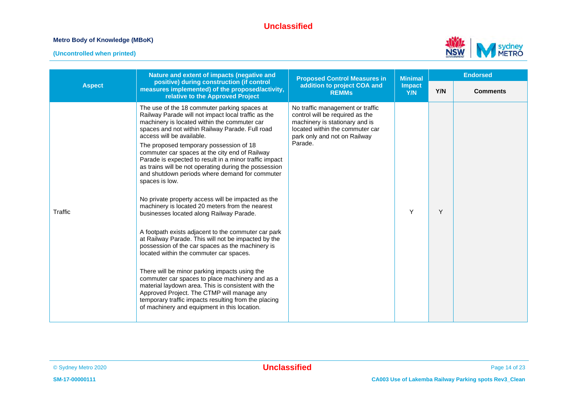#### **Metro Body of Knowledge (MBoK)**

**(Uncontrolled when printed)**



|               | Nature and extent of impacts (negative and                                                                                                                                                                                                                                                                                                                                                                                                                                                                                                                                                                                                                                                                                                                                                                                                                                                                                                                                                                                                                                                                                                                                                                | <b>Proposed Control Measures in</b>                                                                                                                                                 | <b>Minimal</b> | <b>Endorsed</b> |                 |
|---------------|-----------------------------------------------------------------------------------------------------------------------------------------------------------------------------------------------------------------------------------------------------------------------------------------------------------------------------------------------------------------------------------------------------------------------------------------------------------------------------------------------------------------------------------------------------------------------------------------------------------------------------------------------------------------------------------------------------------------------------------------------------------------------------------------------------------------------------------------------------------------------------------------------------------------------------------------------------------------------------------------------------------------------------------------------------------------------------------------------------------------------------------------------------------------------------------------------------------|-------------------------------------------------------------------------------------------------------------------------------------------------------------------------------------|----------------|-----------------|-----------------|
| <b>Aspect</b> | positive) during construction (if control<br>measures implemented) of the proposed/activity,<br>relative to the Approved Project                                                                                                                                                                                                                                                                                                                                                                                                                                                                                                                                                                                                                                                                                                                                                                                                                                                                                                                                                                                                                                                                          | addition to project COA and<br><b>REMMs</b>                                                                                                                                         | Impact<br>Y/N  | Y/N             | <b>Comments</b> |
| Traffic       | The use of the 18 commuter parking spaces at<br>Railway Parade will not impact local traffic as the<br>machinery is located within the commuter car<br>spaces and not within Railway Parade. Full road<br>access will be available.<br>The proposed temporary possession of 18<br>commuter car spaces at the city end of Railway<br>Parade is expected to result in a minor traffic impact<br>as trains will be not operating during the possession<br>and shutdown periods where demand for commuter<br>spaces is low.<br>No private property access will be impacted as the<br>machinery is located 20 meters from the nearest<br>businesses located along Railway Parade.<br>A footpath exists adjacent to the commuter car park<br>at Railway Parade. This will not be impacted by the<br>possession of the car spaces as the machinery is<br>located within the commuter car spaces.<br>There will be minor parking impacts using the<br>commuter car spaces to place machinery and as a<br>material laydown area. This is consistent with the<br>Approved Project. The CTMP will manage any<br>temporary traffic impacts resulting from the placing<br>of machinery and equipment in this location. | No traffic management or traffic<br>control will be required as the<br>machinery is stationary and is<br>located within the commuter car<br>park only and not on Railway<br>Parade. | Y              | Y               |                 |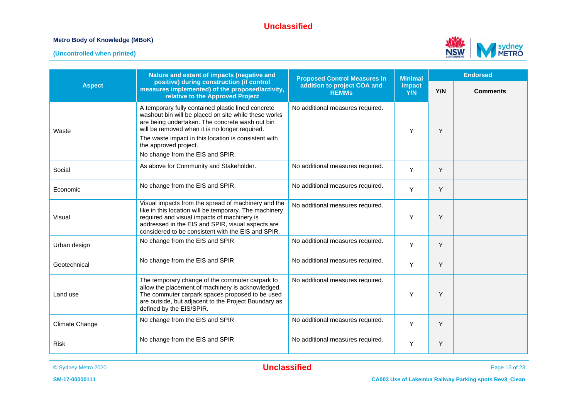#### **Metro Body of Knowledge (MBoK)**





|                | Nature and extent of impacts (negative and                                                                                                                                                                                                                                                                                           | <b>Proposed Control Measures in</b>         | <b>Minimal</b>       |     | <b>Endorsed</b> |  |
|----------------|--------------------------------------------------------------------------------------------------------------------------------------------------------------------------------------------------------------------------------------------------------------------------------------------------------------------------------------|---------------------------------------------|----------------------|-----|-----------------|--|
| <b>Aspect</b>  | positive) during construction (if control<br>measures implemented) of the proposed/activity,<br>relative to the Approved Project                                                                                                                                                                                                     | addition to project COA and<br><b>REMMs</b> | <b>Impact</b><br>Y/N | Y/N | <b>Comments</b> |  |
| Waste          | A temporary fully contained plastic lined concrete<br>washout bin will be placed on site while these works<br>are being undertaken. The concrete wash out bin<br>will be removed when it is no longer required.<br>The waste impact in this location is consistent with<br>the approved project.<br>No change from the EIS and SPIR. | No additional measures required.            | Y                    | Y   |                 |  |
| Social         | As above for Community and Stakeholder.                                                                                                                                                                                                                                                                                              | No additional measures required.            | Y                    | Y   |                 |  |
| Economic       | No change from the EIS and SPIR.                                                                                                                                                                                                                                                                                                     | No additional measures required.            | Y                    | Y   |                 |  |
| Visual         | Visual impacts from the spread of machinery and the<br>like in this location will be temporary. The machinery<br>required and visual impacts of machinery is<br>addressed in the EIS and SPIR, visual aspects are<br>considered to be consistent with the EIS and SPIR.                                                              | No additional measures required.            | Y                    | Y   |                 |  |
| Urban design   | No change from the EIS and SPIR                                                                                                                                                                                                                                                                                                      | No additional measures required.            | $\mathsf{Y}$         | Y   |                 |  |
| Geotechnical   | No change from the EIS and SPIR                                                                                                                                                                                                                                                                                                      | No additional measures required.            | Y                    | Y   |                 |  |
| Land use       | The temporary change of the commuter carpark to<br>allow the placement of machinery is acknowledged.<br>The commuter carpark spaces proposed to be used<br>are outside, but adjacent to the Project Boundary as<br>defined by the EIS/SPIR.                                                                                          | No additional measures required.            | Y                    | Y   |                 |  |
| Climate Change | No change from the EIS and SPIR                                                                                                                                                                                                                                                                                                      | No additional measures required.            | Y                    | Y   |                 |  |
| <b>Risk</b>    | No change from the EIS and SPIR                                                                                                                                                                                                                                                                                                      | No additional measures required.            | Y                    | Y   |                 |  |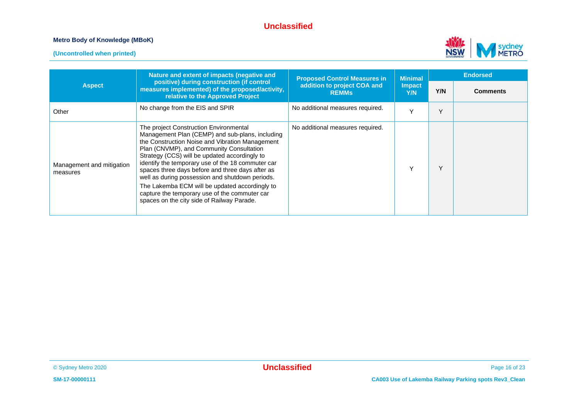#### **Metro Body of Knowledge (MBoK)**





|                                       | Nature and extent of impacts (negative and                                                                                                                                                                                                                                                                                                                                                                                                                                                                                                             | <b>Proposed Control Measures in</b>         | <b>Minimal</b>       | <b>Endorsed</b> |                 |
|---------------------------------------|--------------------------------------------------------------------------------------------------------------------------------------------------------------------------------------------------------------------------------------------------------------------------------------------------------------------------------------------------------------------------------------------------------------------------------------------------------------------------------------------------------------------------------------------------------|---------------------------------------------|----------------------|-----------------|-----------------|
| <b>Aspect</b>                         | positive) during construction (if control<br>measures implemented) of the proposed/activity,<br>relative to the Approved Project                                                                                                                                                                                                                                                                                                                                                                                                                       | addition to project COA and<br><b>REMMS</b> | <b>Impact</b><br>Y/N | Y/N             | <b>Comments</b> |
| Other                                 | No change from the EIS and SPIR                                                                                                                                                                                                                                                                                                                                                                                                                                                                                                                        | No additional measures required.            |                      | $\checkmark$    |                 |
| Management and mitigation<br>measures | The project Construction Environmental<br>Management Plan (CEMP) and sub-plans, including<br>the Construction Noise and Vibration Management<br>Plan (CNVMP), and Community Consultation<br>Strategy (CCS) will be updated accordingly to<br>identify the temporary use of the 18 commuter car<br>spaces three days before and three days after as<br>well as during possession and shutdown periods.<br>The Lakemba ECM will be updated accordingly to<br>capture the temporary use of the commuter car<br>spaces on the city side of Railway Parade. | No additional measures required.            | $\checkmark$         | $\checkmark$    |                 |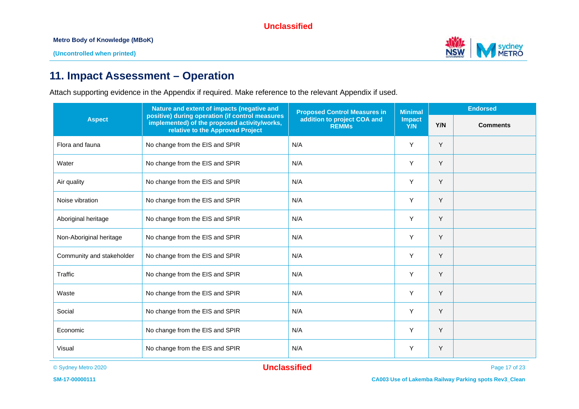**Metro Body of Knowledge (MBoK)**



# **11. Impact Assessment – Operation**

Attach supporting evidence in the Appendix if required. Make reference to the relevant Appendix if used.

|                           | Nature and extent of impacts (negative and                                                                                                                                         | <b>Proposed Control Measures in</b> | <b>Minimal</b>       | <b>Endorsed</b> |                 |
|---------------------------|------------------------------------------------------------------------------------------------------------------------------------------------------------------------------------|-------------------------------------|----------------------|-----------------|-----------------|
| <b>Aspect</b>             | positive) during operation (if control measures<br>addition to project COA and<br>implemented) of the proposed activity/works,<br><b>REMMs</b><br>relative to the Approved Project |                                     | <b>Impact</b><br>Y/N | Y/N             | <b>Comments</b> |
| Flora and fauna           | No change from the EIS and SPIR                                                                                                                                                    | N/A                                 | Y                    | Y               |                 |
| Water                     | No change from the EIS and SPIR                                                                                                                                                    | N/A                                 | Y                    | Y               |                 |
| Air quality               | No change from the EIS and SPIR                                                                                                                                                    | N/A                                 | Y                    | Y               |                 |
| Noise vibration           | No change from the EIS and SPIR                                                                                                                                                    | N/A                                 | Y                    | Y               |                 |
| Aboriginal heritage       | No change from the EIS and SPIR                                                                                                                                                    | N/A                                 | Y                    | Y               |                 |
| Non-Aboriginal heritage   | No change from the EIS and SPIR                                                                                                                                                    | N/A                                 | Y                    | Y               |                 |
| Community and stakeholder | No change from the EIS and SPIR                                                                                                                                                    | N/A                                 | Y                    | Y               |                 |
| Traffic                   | No change from the EIS and SPIR                                                                                                                                                    | N/A                                 | Y                    | Y               |                 |
| Waste                     | No change from the EIS and SPIR                                                                                                                                                    | N/A                                 | Y                    | Y               |                 |
| Social                    | No change from the EIS and SPIR                                                                                                                                                    | N/A                                 | Y                    | Y               |                 |
| Economic                  | No change from the EIS and SPIR                                                                                                                                                    | N/A                                 | Υ                    | Y               |                 |
| Visual                    | No change from the EIS and SPIR                                                                                                                                                    | N/A                                 | Y                    | Y               |                 |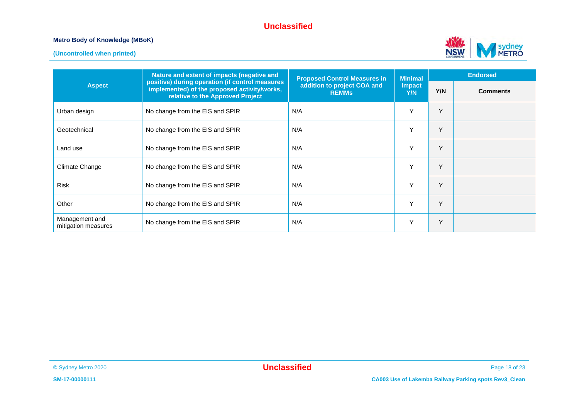#### **Metro Body of Knowledge (MBoK)**



**(Uncontrolled when printed)**

|                                       | Nature and extent of impacts (negative and                                                                                                                                         | <b>Proposed Control Measures in</b> | <b>Minimal</b>       | <b>Endorsed</b> |                 |
|---------------------------------------|------------------------------------------------------------------------------------------------------------------------------------------------------------------------------------|-------------------------------------|----------------------|-----------------|-----------------|
| <b>Aspect</b>                         | positive) during operation (if control measures<br>addition to project COA and<br>implemented) of the proposed activity/works,<br><b>REMMS</b><br>relative to the Approved Project |                                     | <b>Impact</b><br>Y/N | Y/N             | <b>Comments</b> |
| Urban design                          | No change from the EIS and SPIR                                                                                                                                                    | N/A                                 | Υ                    | Y               |                 |
| Geotechnical                          | No change from the EIS and SPIR                                                                                                                                                    | N/A                                 | Y                    | Y               |                 |
| Land use                              | No change from the EIS and SPIR                                                                                                                                                    | N/A                                 | Y                    | Y               |                 |
| Climate Change                        | No change from the EIS and SPIR                                                                                                                                                    | N/A                                 | Υ                    | Y               |                 |
| <b>Risk</b>                           | No change from the EIS and SPIR                                                                                                                                                    | N/A                                 | Y                    | Y               |                 |
| Other                                 | No change from the EIS and SPIR                                                                                                                                                    | N/A                                 | Y                    | Y               |                 |
| Management and<br>mitigation measures | No change from the EIS and SPIR                                                                                                                                                    | N/A                                 | Υ                    | Y               |                 |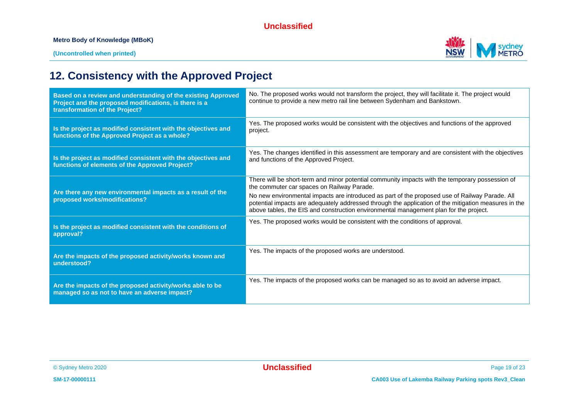#### **Metro Body of Knowledge (MBoK)**



# **12. Consistency with the Approved Project**

| Based on a review and understanding of the existing Approved<br>Project and the proposed modifications, is there is a<br>transformation of the Project? | No. The proposed works would not transform the project, they will facilitate it. The project would<br>continue to provide a new metro rail line between Sydenham and Bankstown.                                                                                                                 |
|---------------------------------------------------------------------------------------------------------------------------------------------------------|-------------------------------------------------------------------------------------------------------------------------------------------------------------------------------------------------------------------------------------------------------------------------------------------------|
| Is the project as modified consistent with the objectives and<br>functions of the Approved Project as a whole?                                          | Yes. The proposed works would be consistent with the objectives and functions of the approved<br>project.                                                                                                                                                                                       |
| Is the project as modified consistent with the objectives and<br>functions of elements of the Approved Project?                                         | Yes. The changes identified in this assessment are temporary and are consistent with the objectives<br>and functions of the Approved Project.                                                                                                                                                   |
|                                                                                                                                                         | There will be short-term and minor potential community impacts with the temporary possession of<br>the commuter car spaces on Railway Parade.                                                                                                                                                   |
| Are there any new environmental impacts as a result of the<br>proposed works/modifications?                                                             | No new environmental impacts are introduced as part of the proposed use of Railway Parade. All<br>potential impacts are adequately addressed through the application of the mitigation measures in the<br>above tables, the EIS and construction environmental management plan for the project. |
| Is the project as modified consistent with the conditions of<br>approval?                                                                               | Yes. The proposed works would be consistent with the conditions of approval.                                                                                                                                                                                                                    |
| Are the impacts of the proposed activity/works known and<br>understood?                                                                                 | Yes. The impacts of the proposed works are understood.                                                                                                                                                                                                                                          |
| Are the impacts of the proposed activity/works able to be<br>managed so as not to have an adverse impact?                                               | Yes. The impacts of the proposed works can be managed so as to avoid an adverse impact.                                                                                                                                                                                                         |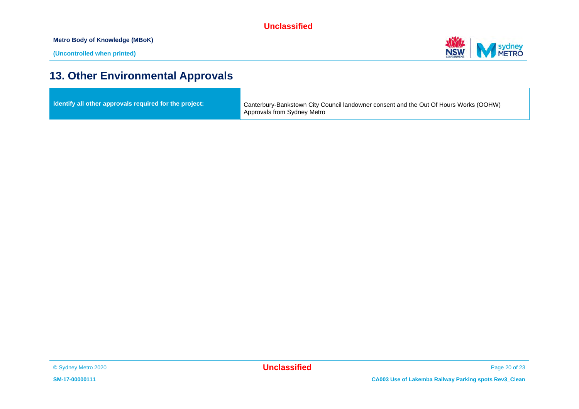**Metro Body of Knowledge (MBoK)**



# **13. Other Environmental Approvals**

| ldentify all other approvals required for the project: | Canterbury-Bankstown City Council landowner consent and the Out Of Hours Works (OOHW)<br>Approvals from Sydney Metro |
|--------------------------------------------------------|----------------------------------------------------------------------------------------------------------------------|
|                                                        |                                                                                                                      |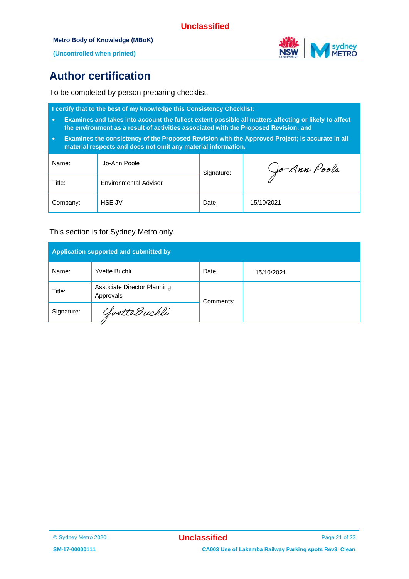

**(Uncontrolled when printed)**

# **Author certification**

To be completed by person preparing checklist.

**I certify that to the best of my knowledge this Consistency Checklist:**

- **Examines and takes into account the fullest extent possible all matters affecting or likely to affect the environment as a result of activities associated with the Proposed Revision; and**
- **Examines the consistency of the Proposed Revision with the Approved Project; is accurate in all material respects and does not omit any material information.**

| Name:    | Jo-Ann Poole                 |            | Jo-Ann Poole |
|----------|------------------------------|------------|--------------|
| Title:   | <b>Environmental Advisor</b> | Signature: |              |
| Company: | HSE JV                       | Date:      | 15/10/2021   |

#### This section is for Sydney Metro only.

| Application supported and submitted by |                                          |           |            |  |  |
|----------------------------------------|------------------------------------------|-----------|------------|--|--|
| Name:                                  | Yvette Buchli                            | Date:     | 15/10/2021 |  |  |
| Title:                                 | Associate Director Planning<br>Approvals | Comments: |            |  |  |
| Signature:                             | ChvetteBuchli                            |           |            |  |  |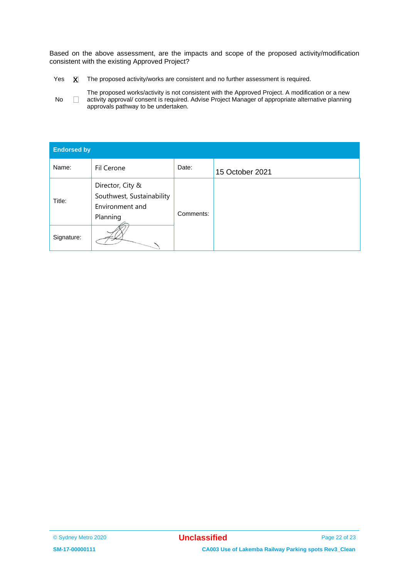Based on the above assessment, are the impacts and scope of the proposed activity/modification consistent with the existing Approved Project?

- Yes  $\quad \overline{X}$  The proposed activity/works are consistent and no further assessment is required.
- No $\Box$ The proposed works/activity is not consistent with the Approved Project. A modification or a new activity approval/ consent is required. Advise Project Manager of appropriate alternative planning approvals pathway to be undertaken.

| <b>Endorsed by</b> |                                                                              |           |                 |  |  |
|--------------------|------------------------------------------------------------------------------|-----------|-----------------|--|--|
| Name:              | Fil Cerone                                                                   | Date:     | 15 October 2021 |  |  |
| Title:             | Director, City &<br>Southwest, Sustainability<br>Environment and<br>Planning | Comments: |                 |  |  |
| Signature:         |                                                                              |           |                 |  |  |

<sup>©</sup> Sydney Metro 2020 **Unclassified** Page 22 of 23